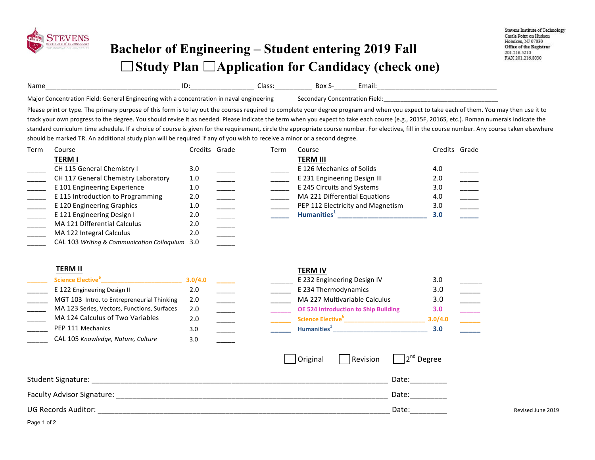

## **Bachelor of Engineering – Student entering 2019 Fall**  □ Study Plan □ Application for Candidacy (check one)

| Name<br>______                                                        | ___________________ | udos.<br>____________ | DUA<br>________ | -шан          |
|-----------------------------------------------------------------------|---------------------|-----------------------|-----------------|---------------|
| Maior<br>. General Engineering '<br>tion Field <sup>.</sup><br>g with | con<br>`tion.       | neering               |                 | ۱۵۱۸<br>161 U |

Please print or type. The primary purpose of this form is to lay out the courses required to complete your degree program and when you expect to take each of them. You may then use it to track your own progress to the degree. You should revise it as needed. Please indicate the term when you expect to take each course (e.g., 2015F, 2016S, etc.). Roman numerals indicate the standard curriculum time schedule. If a choice of course is given for the requirement, circle the appropriate course number. For electives, fill in the course number. Any course taken elsewhere should be marked TR. An additional study plan will be required if any of you wish to receive a minor or a second degree.

| Term | Course                                         | Credits Grade | Term | Course                            | Credits Grade |  |
|------|------------------------------------------------|---------------|------|-----------------------------------|---------------|--|
|      | <b>TERM I</b>                                  |               |      | <b>TERM III</b>                   |               |  |
|      | CH 115 General Chemistry I                     | 3.0           |      | E 126 Mechanics of Solids         | 4.0           |  |
|      | CH 117 General Chemistry Laboratory            | 1.0           |      | E 231 Engineering Design III      | 2.0           |  |
|      | E 101 Engineering Experience                   | 1.0           |      | E 245 Circuits and Systems        | 3.0           |  |
|      | E 115 Introduction to Programming              | 2.0           |      | MA 221 Differential Equations     | 4.0           |  |
|      | E 120 Engineering Graphics                     | 1.0           |      | PEP 112 Electricity and Magnetism | 3.0           |  |
|      | E 121 Engineering Design I                     | 2.0           |      | Humanities <sup>+</sup>           | 3.0           |  |
|      | MA 121 Differential Calculus                   | 2.0           |      |                                   |               |  |
|      | MA 122 Integral Calculus                       | 2.0           |      |                                   |               |  |
|      | CAL 103 Writing & Communication Colloquium 3.0 |               |      |                                   |               |  |

## **TERM II TERM IV**

| Science Elective <sup>b</sup>               | 3.0/4.0 |  | E 232 Engineering Design IV                 | 3.0     |  |
|---------------------------------------------|---------|--|---------------------------------------------|---------|--|
| E 122 Engineering Design II                 | 2.0     |  | E 234 Thermodynamics                        | 3.0     |  |
| MGT 103 Intro. to Entrepreneurial Thinking  | 2.0     |  | MA 227 Multivariable Calculus               | 3.0     |  |
| MA 123 Series, Vectors, Functions, Surfaces | 2.0     |  | <b>OE 524 Introduction to Ship Building</b> | 3.0     |  |
| MA 124 Calculus of Two Variables            | 2.0     |  | Science Elective <sup>6</sup>               | 3.0/4.0 |  |
| PEP 111 Mechanics                           |         |  | Humanities <sup>1</sup>                     | 3.0     |  |
| CAL 105 Knowledge, Nature, Culture          |         |  |                                             |         |  |

|                              | 3.0/4.0 |  | E 232 Engineering Design IV                 | 3.0     |  |
|------------------------------|---------|--|---------------------------------------------|---------|--|
| ıg Design II                 | 2.0     |  | E 234 Thermodynamics                        | 3.0     |  |
| to Entrepreneurial Thinking  | 2.0     |  | MA 227 Multivariable Calculus               | 3.0     |  |
| Vectors, Functions, Surfaces | 2.0     |  | <b>OE 524 Introduction to Ship Building</b> | 3.0     |  |
| is of Two Variables          | 2.0     |  | Science Elective <sup>6</sup>               | 3.0/4.0 |  |
| าics                         | 3.0     |  | Humanities <sup>1</sup>                     | 3.0     |  |
|                              |         |  |                                             |         |  |

|                            | Original | Revision | $\Box$ 2 <sup>nd</sup> Degree |                   |
|----------------------------|----------|----------|-------------------------------|-------------------|
| Student Signature:         |          |          | Date:                         |                   |
| Faculty Advisor Signature: |          |          | Date:                         |                   |
| <b>UG Records Auditor:</b> |          |          | Date:                         | Revised June 2019 |

Page 1 of 2